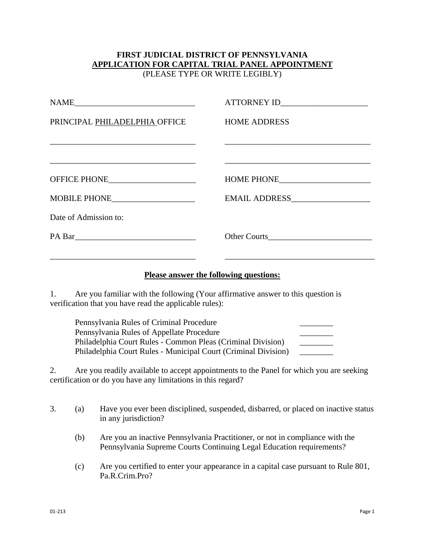## **FIRST JUDICIAL DISTRICT OF PENNSYLVANIA APPLICATION FOR CAPITAL TRIAL PANEL APPOINTMENT**

(PLEASE TYPE OR WRITE LEGIBLY)

| PRINCIPAL PHILADELPHIA OFFICE                                                                                         | <b>HOME ADDRESS</b> |
|-----------------------------------------------------------------------------------------------------------------------|---------------------|
|                                                                                                                       |                     |
| <u> 1989 - Johann Stoff, deutscher Stoff, der Stoff, der Stoff, der Stoff, der Stoff, der Stoff, der Stoff, der S</u> |                     |
|                                                                                                                       |                     |
|                                                                                                                       | EMAIL ADDRESS       |
| Date of Admission to:                                                                                                 |                     |
| PA Bar                                                                                                                | Other Courts        |
|                                                                                                                       |                     |

## **Please answer the following questions:**

1. Are you familiar with the following (Your affirmative answer to this question is verification that you have read the applicable rules):

Pennsylvania Rules of Criminal Procedure Pennsylvania Rules of Appellate Procedure \_\_\_\_\_\_\_\_ Philadelphia Court Rules - Common Pleas (Criminal Division) \_\_\_\_\_\_\_\_ Philadelphia Court Rules - Municipal Court (Criminal Division) \_\_\_\_\_\_\_\_

2. Are you readily available to accept appointments to the Panel for which you are seeking certification or do you have any limitations in this regard?

- 3. (a) Have you ever been disciplined, suspended, disbarred, or placed on inactive status in any jurisdiction?
	- (b) Are you an inactive Pennsylvania Practitioner, or not in compliance with the Pennsylvania Supreme Courts Continuing Legal Education requirements?
	- (c) Are you certified to enter your appearance in a capital case pursuant to Rule 801, Pa.R.Crim.Pro?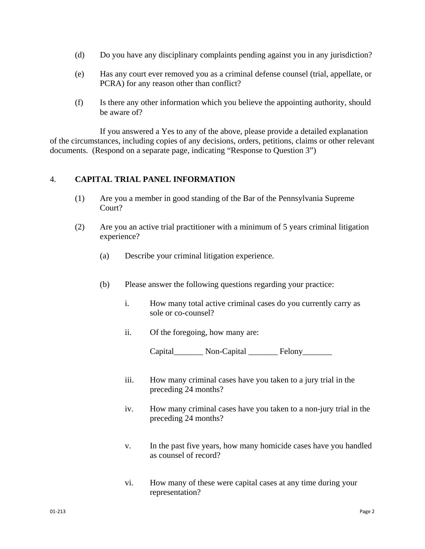- (d) Do you have any disciplinary complaints pending against you in any jurisdiction?
- (e) Has any court ever removed you as a criminal defense counsel (trial, appellate, or PCRA) for any reason other than conflict?
- (f) Is there any other information which you believe the appointing authority, should be aware of?

If you answered a Yes to any of the above, please provide a detailed explanation of the circumstances, including copies of any decisions, orders, petitions, claims or other relevant documents. (Respond on a separate page, indicating "Response to Question 3")

## 4. **CAPITAL TRIAL PANEL INFORMATION**

- (1) Are you a member in good standing of the Bar of the Pennsylvania Supreme Court?
- (2) Are you an active trial practitioner with a minimum of 5 years criminal litigation experience?
	- (a) Describe your criminal litigation experience.
	- (b) Please answer the following questions regarding your practice:
		- i. How many total active criminal cases do you currently carry as sole or co-counsel?
		- ii. Of the foregoing, how many are:

Capital\_\_\_\_\_\_\_\_ Non-Capital \_\_\_\_\_\_\_ Felony\_\_\_\_\_\_\_

- iii. How many criminal cases have you taken to a jury trial in the preceding 24 months?
- iv. How many criminal cases have you taken to a non-jury trial in the preceding 24 months?
- v. In the past five years, how many homicide cases have you handled as counsel of record?
- vi. How many of these were capital cases at any time during your representation?